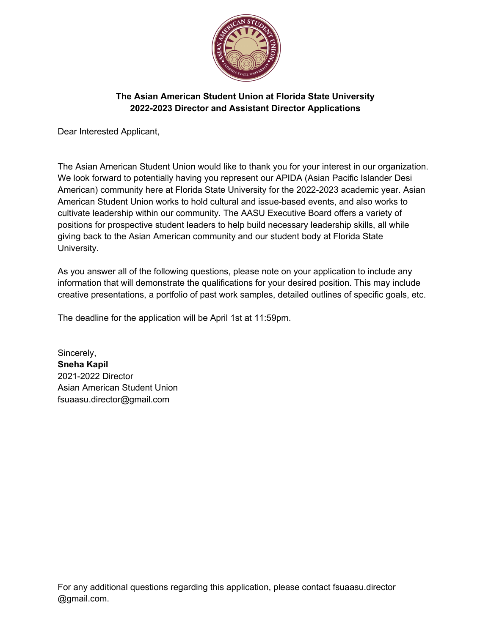

Dear Interested Applicant,

The Asian American Student Union would like to thank you for your interest in our organization. We look forward to potentially having you represent our APIDA (Asian Pacific Islander Desi American) community here at Florida State University for the 2022-2023 academic year. Asian American Student Union works to hold cultural and issue-based events, and also works to cultivate leadership within our community. The AASU Executive Board offers a variety of positions for prospective student leaders to help build necessary leadership skills, all while giving back to the Asian American community and our student body at Florida State University.

As you answer all of the following questions, please note on your application to include any information that will demonstrate the qualifications for your desired position. This may include creative presentations, a portfolio of past work samples, detailed outlines of specific goals, etc.

The deadline for the application will be April 1st at 11:59pm.

Sincerely, **Sneha Kapil** 2021-2022 Director Asian American Student Union fsuaasu.director@gmail.com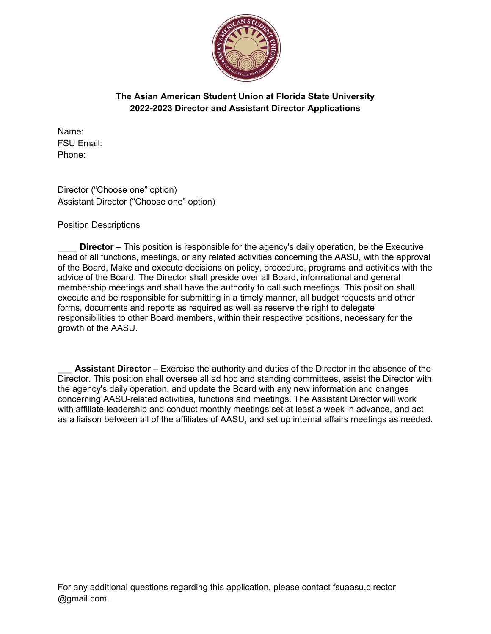

Name: FSU Email: Phone:

Director ("Choose one" option) Assistant Director ("Choose one" option)

Position Descriptions

**Director** – This position is responsible for the agency's daily operation, be the Executive head of all functions, meetings, or any related activities concerning the AASU, with the approval of the Board, Make and execute decisions on policy, procedure, programs and activities with the advice of the Board. The Director shall preside over all Board, informational and general membership meetings and shall have the authority to call such meetings. This position shall execute and be responsible for submitting in a timely manner, all budget requests and other forms, documents and reports as required as well as reserve the right to delegate responsibilities to other Board members, within their respective positions, necessary for the growth of the AASU.

**Assistant Director** – Exercise the authority and duties of the Director in the absence of the Director. This position shall oversee all ad hoc and standing committees, assist the Director with the agency's daily operation, and update the Board with any new information and changes concerning AASU-related activities, functions and meetings. The Assistant Director will work with affiliate leadership and conduct monthly meetings set at least a week in advance, and act as a liaison between all of the affiliates of AASU, and set up internal affairs meetings as needed.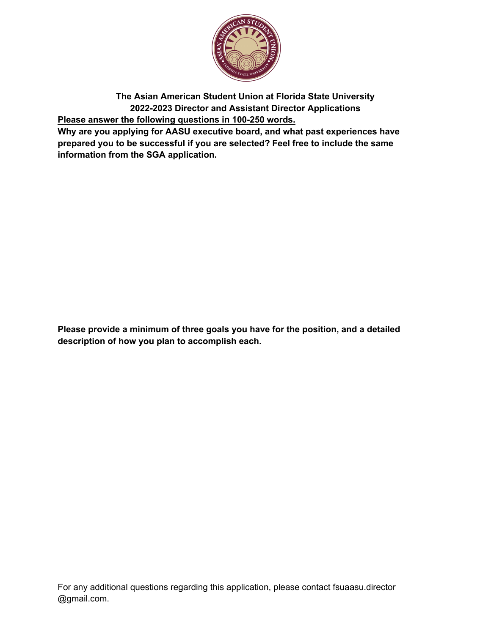

**The Asian American Student Union at Florida State University 2022-2023 Director and Assistant Director Applications Please answer the following questions in 100-250 words.**

**Why are you applying for AASU executive board, and what past experiences have prepared you to be successful if you are selected? Feel free to include the same information from the SGA application.**

**Please provide a minimum of three goals you have for the position, and a detailed description of how you plan to accomplish each.**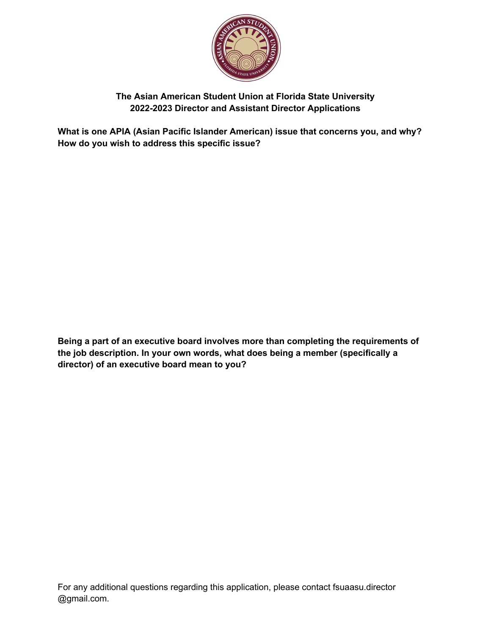

**What is one APIA (Asian Pacific Islander American) issue that concerns you, and why? How do you wish to address this specific issue?**

**Being a part of an executive board involves more than completing the requirements of the job description. In your own words, what does being a member (specifically a director) of an executive board mean to you?**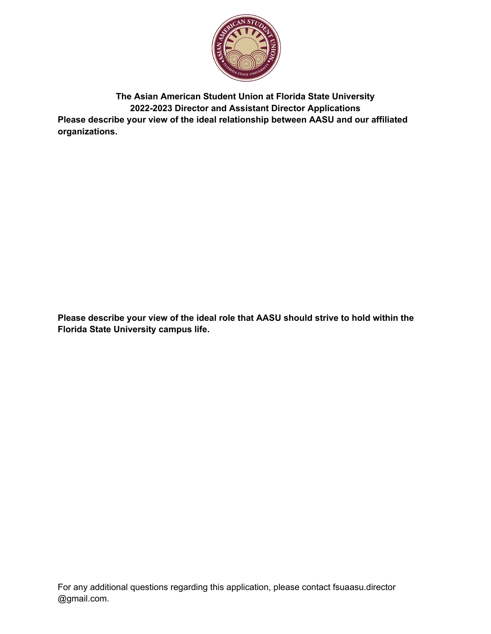

**The Asian American Student Union at Florida State University 2022-2023 Director and Assistant Director Applications Please describe your view of the ideal relationship between AASU and our affiliated organizations.** 

**Please describe your view of the ideal role that AASU should strive to hold within the Florida State University campus life.**